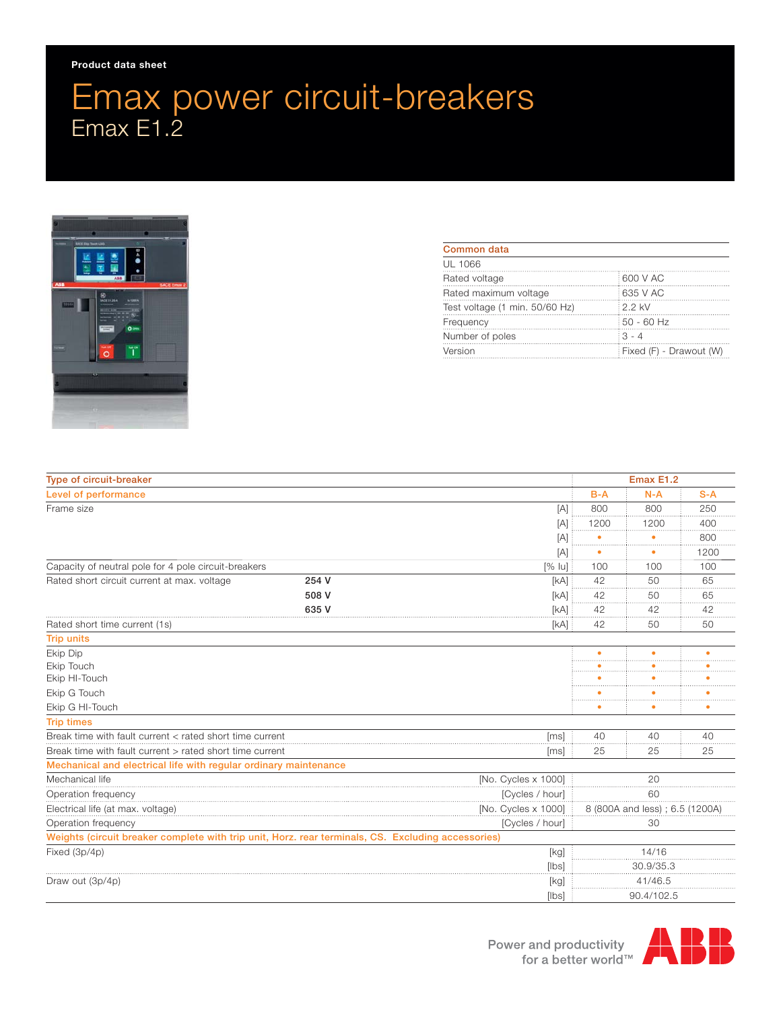## Emax power circuit-breakers Emax E1.2



| Common data                    |                         |
|--------------------------------|-------------------------|
| UL 1066                        |                         |
| Rated voltage                  | 600 V AC                |
| Rated maximum voltage          | : 635 V AC              |
| Test voltage (1 min. 50/60 Hz) | : 2.2 kV                |
| Frequency                      | 50 - 60 Hz              |
| Number of poles                | $3 - 4$                 |
| Version                        | Fixed (F) - Drawout (W) |

| Type of circuit-breaker                                                                            |       | Emax E1.2                       |            |       |       |
|----------------------------------------------------------------------------------------------------|-------|---------------------------------|------------|-------|-------|
| Level of performance                                                                               |       |                                 | $B-A$      | $N-A$ | $S-A$ |
| Frame size                                                                                         |       | [A]                             | 800        | 800   | 250   |
|                                                                                                    |       | [A]                             | 1200       | 1200  | 400   |
|                                                                                                    |       | [A]                             |            |       | 800   |
|                                                                                                    |       | [A]                             | ٠          |       | 1200  |
| Capacity of neutral pole for 4 pole circuit-breakers<br>$[%$ lu                                    |       | 100                             | 100        | 100   |       |
| Rated short circuit current at max. voltage                                                        | 254 V | [kA]                            | 42         | 50    | 65    |
|                                                                                                    | 508 V | [kA]                            | 42         | 50    | 65    |
|                                                                                                    | 635 V | [kA]                            | 42         | 42    | 42    |
| Rated short time current (1s)<br>[kA]                                                              |       |                                 | 42         | 50    | 50    |
| <b>Trip units</b>                                                                                  |       |                                 |            |       |       |
| Ekip Dip                                                                                           |       |                                 |            |       | ٠     |
| Ekip Touch                                                                                         |       |                                 |            |       |       |
| Ekip HI-Touch                                                                                      |       |                                 |            |       |       |
| Ekip G Touch                                                                                       |       |                                 |            |       |       |
| Ekip G HI-Touch                                                                                    |       |                                 |            |       |       |
| <b>Trip times</b>                                                                                  |       |                                 |            |       |       |
| Break time with fault current < rated short time current<br>[ms]                                   |       |                                 | 40         | 40    | 40    |
| Break time with fault current > rated short time current<br>[ms]                                   |       |                                 | 25         | 25    | 25    |
| Mechanical and electrical life with regular ordinary maintenance                                   |       |                                 |            |       |       |
| Mechanical life<br>[No. Cycles x 1000]                                                             |       | 20                              |            |       |       |
| [Cycles / hour]<br>Operation frequency                                                             |       | 60                              |            |       |       |
| [No. Cycles x 1000]<br>Electrical life (at max. voltage)                                           |       | 8 (800A and less) ; 6.5 (1200A) |            |       |       |
| [Cycles / hour]<br>Operation frequency                                                             |       | 30                              |            |       |       |
| Weights (circuit breaker complete with trip unit, Horz. rear terminals, CS. Excluding accessories) |       |                                 |            |       |       |
| Fixed (3p/4p)                                                                                      |       | [kg]                            | 14/16      |       |       |
|                                                                                                    |       | [lbs]                           | 30.9/35.3  |       |       |
| Draw out (3p/4p)                                                                                   |       | [kg]                            | 41/46.5    |       |       |
|                                                                                                    |       | [lbs]                           | 90.4/102.5 |       |       |